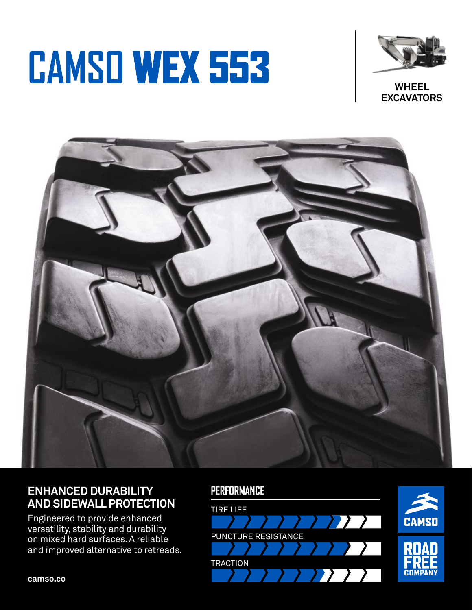# **CAMSO** WEX 553



**WHEEL EXCAVATORS**



## **ENHANCED DURABILITY AND SIDEWALL PROTECTION**

Engineered to provide enhanced versatility, stability and durability on mixed hard surfaces. A reliable and improved alternative to retreads.

### **PERFORMANCE**



**camso.co**